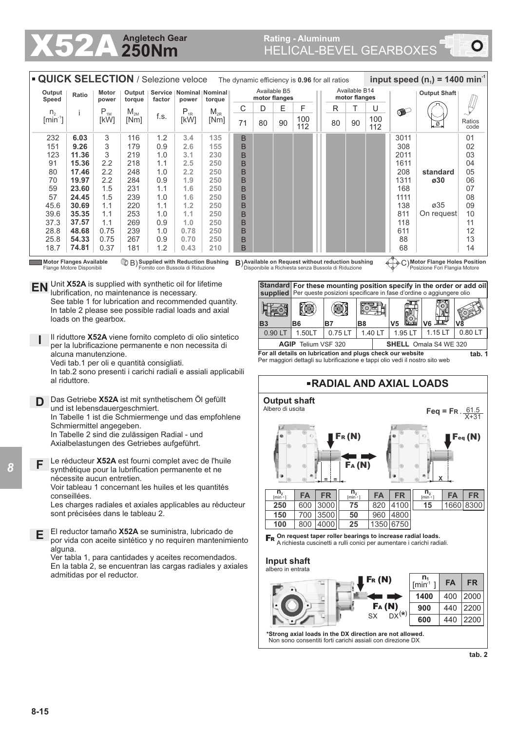## **250Nm Angletech Gear**

# **X52A Angletech Gear** Rating - Aluminum **Rating - Aluminum** Rating - Aluminum **Rating - Aluminum**

|                             | <b>QUICK SELECTION</b> / Selezione veloce<br>The dynamic efficiency is 0.96 for all ratios |                |                  |                          |          |                               |                               |    |    |            |  |    |                                |            | input speed $(n_1)$ = 1400 min <sup>-1</sup> |                       |                |  |
|-----------------------------|--------------------------------------------------------------------------------------------|----------------|------------------|--------------------------|----------|-------------------------------|-------------------------------|----|----|------------|--|----|--------------------------------|------------|----------------------------------------------|-----------------------|----------------|--|
| Output<br>Speed             | Ratio                                                                                      | Motor<br>power | Output<br>torque | <b>Service</b><br>factor | power    | Nominal   Nominal  <br>torque | Available B5<br>motor flanges |    |    |            |  |    | Available B14<br>motor flanges |            |                                              | <b>Output Shaft</b>   |                |  |
| n <sub>2</sub>              |                                                                                            | $P_{1M}$       | $M_{2M}$         |                          | $P_{1R}$ | $M_{2R}$                      | С                             | D  | E  | F          |  | R  |                                | U          | $\bullet$                                    |                       |                |  |
| $\left[\text{min}^1\right]$ |                                                                                            | [kW]           | [Nm]             | f.s.                     | [kW]     | [Nm]                          | 71                            | 80 | 90 | 100<br>112 |  | 80 | 90                             | 100<br>112 |                                              | $\cdot^{\varnothing}$ | Ratios<br>code |  |
| 232                         | 6.03                                                                                       | 3              | 116              | 1.2                      | 3.4      | 135                           | B                             |    |    |            |  |    |                                |            | 3011                                         |                       | 01             |  |
| 151                         | 9.26                                                                                       | 3              | 179              | 0.9                      | 2.6      | 155                           | B                             |    |    |            |  |    |                                |            | 308                                          |                       | 02             |  |
| 123                         | 11.36                                                                                      | 3              | 219              | 1.0                      | 3.1      | 230                           | B                             |    |    |            |  |    |                                |            | 2011                                         |                       | 03             |  |
| 91                          | 15.36                                                                                      | 2.2            | 218              | 1.1                      | 2.5      | 250                           | B                             |    |    |            |  |    |                                |            | 1611                                         |                       | 04             |  |
| 80                          | 17.46                                                                                      | 2.2            | 248              | 1.0                      | 2.2      | 250                           | B                             |    |    |            |  |    |                                |            | 208                                          | standard              | 05             |  |
| 70                          | 19.97                                                                                      | 2.2            | 284              | 0.9                      | 1.9      | 250                           | B                             |    |    |            |  |    |                                |            | 1311                                         | ø30                   | 06             |  |
| 59                          | 23.60                                                                                      | 1.5            | 231              | 1.1                      | 1.6      | 250                           | B                             |    |    |            |  |    |                                |            | 168                                          |                       | 07             |  |
| 57                          | 24.45                                                                                      | 1.5            | 239              | 1.0                      | 1.6      | 250                           | B                             |    |    |            |  |    |                                |            | 1111                                         |                       | 08             |  |
| 45.6                        | 30.69                                                                                      | 1.1            | 220              | 1.1                      | 1.2      | 250                           | B                             |    |    |            |  |    |                                |            | 138                                          | ø35                   | 09             |  |
| 39.6                        | 35.35                                                                                      | 1.1            | 253              | 1.0                      | 1.1      | 250                           | B                             |    |    |            |  |    |                                |            | 811                                          | On request            | 10             |  |
| 37.3                        | 37.57                                                                                      | 1.1            | 269              | 0.9                      | 1.0      | 250                           | B                             |    |    |            |  |    |                                |            | 118                                          |                       | 11             |  |
| 28.8                        | 48.68                                                                                      | 0.75           | 239              | 1.0                      | 0.78     | 250                           | B                             |    |    |            |  |    |                                |            | 611                                          |                       | 12             |  |
| 25.8                        | 54.33                                                                                      | 0.75           | 267              | 0.9                      | 0.70     | 250                           | B                             |    |    |            |  |    |                                |            | 88                                           |                       | 13             |  |
| 18.7                        | 74.81                                                                                      | 0.37           | 181              | 1.2                      | 0.43     | 210                           | B                             |    |    |            |  |    |                                |            | 68<br>$\triangleright$                       |                       | 14             |  |

**Motor Flanges Available** Flange Motore Disponibili

**Supplied with Reduction Bushing** Fornito con Bussola di Riduzione

**Available on Request with Reduction Bushing B) Available on Request without reduction bushing**  $\leftarrow$  **C)<br>Fornito con Bussola di Riduzione <b>B**) Disponibile a Richiesta senza Bussola di Riduzione

**Motor Flange Holes Position** Posizione Fori Flangia Motore

**EN** Unit **X52A** is supplied with synthetic oil for lifetime lubrification, no maintenance is necessary. See table 1 for lubrication and recommended quantity. In table 2 please see possible radial loads and axial loads on the gearbox.

**I** Il riduttore **X52A** viene fornito completo di olio sintetico per la lubrificazione permanente e non necessita di alcuna manutenzione. Vedi tab.1 per oli e quantità consigliati.

In tab.2 sono presenti i carichi radiali e assiali applicabili al riduttore.

**D** Das Getriebe **X52A** ist mit synthetischem Öl gefüllt und ist lebensdauergeschmiert. In Tabelle 1 ist die Schmiermenge und das empfohlene Schmiermittel angegeben.

In Tabelle 2 sind die zulässigen Radial - und Axialbelastungen des Getriebes aufgeführt.

**F** Le réducteur **X52A** est fourni complet avec de l'huile synthétique pour la lubrification permanente et ne nécessite aucun entretien.

Voir tableau 1 concernant les huiles et les quantités conseillées.

Les charges radiales et axiales applicables au réducteur sont précisées dans le tableau 2.

**E** El reductor tamaño **X52A** se suministra, lubricado de por vida con aceite sintético y no requiren mantenimiento alguna.

Ver tabla 1, para cantidades y aceites recomendados. En la tabla 2, se encuentran las cargas radiales y axiales admitidas por el reductor.

**Standard For these mounting position specify in the order or add oil supplied** Per queste posizioni specificare in fase d'ordine o aggiungere olio ໃຄ (O (@) (O) koei **B3 B6 B7 B8 V5 V6 V8** 0.90 LT | 1.50LT | 0.75 LT | 1.40 LT | 1.95 LT | 1.15 LT | 0.80 LT **AGIP** Telium VSF 320 **SHELL** Omala S4 WE 320 **For all details on lubrication and plugs check our website tab. 1**

**RADIAL AND AXIAL LOADS**

Per maggiori dettagli su lubrificazione e tappi olio vedi il nostro sito web

#### $\mathsf{F}_{\textsf{eq}}$  (N) **X**  $Feq = FR$ . X+31 **= =** FA (N) FR (N) **Output shaft** Albero di uscita 3000 **FA FR 250** 600 **150** 700 3500 100 800 4000 **75** 820 4100 **50** 960 4800 **25** 1350 6750 **15** 1660 8300 **FA FR FA FR <sup>n</sup><sup>2</sup>**  $[min -1]$  $\frac{n_2}{[min^{-1}]}$ **n2**  $[min -1]$

**FR** On request taper roller bearings to increase radial loads. A richiesta cuscinetti a rulli conici per aumentare i carichi radiali.

### **Input shaft** albero in entrata



**tab. 2**

**\*Strong axial loads in the DX direction are not allowed.** Non sono consentiti forti carichi assiali con direzione DX